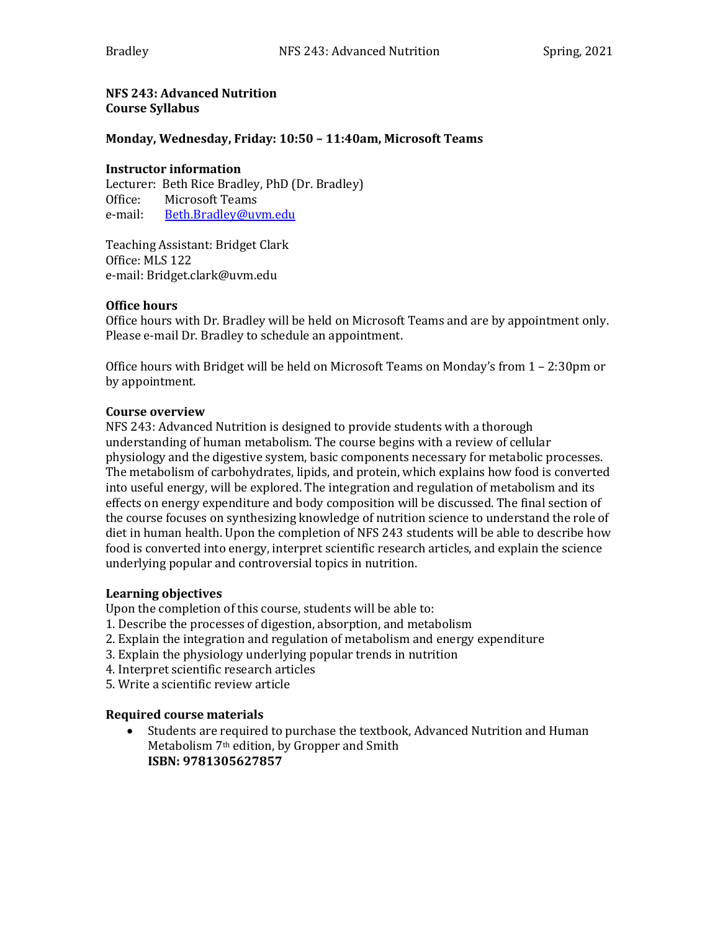**NFS 243: Advanced Nutrition Course Syllabus** 

## **Monday, Wednesday, Friday: 10:50 - 11:40am, Microsoft Teams**

#### **Instructor information**

Lecturer: Beth Rice Bradley, PhD (Dr. Bradley) Office: Microsoft Teams e-mail: Beth.Bradley@uvm.edu

Teaching Assistant: Bridget Clark Office: MLS 122 e-mail: Bridget.clark@uvm.edu

## **Office hours**

Office hours with Dr. Bradley will be held on Microsoft Teams and are by appointment only. Please e-mail Dr. Bradley to schedule an appointment.

Office hours with Bridget will be held on Microsoft Teams on Monday's from  $1 - 2:30$ pm or by appointment.

#### **Course overview**

NFS 243: Advanced Nutrition is designed to provide students with a thorough understanding of human metabolism. The course begins with a review of cellular physiology and the digestive system, basic components necessary for metabolic processes. The metabolism of carbohydrates, lipids, and protein, which explains how food is converted into useful energy, will be explored. The integration and regulation of metabolism and its effects on energy expenditure and body composition will be discussed. The final section of the course focuses on synthesizing knowledge of nutrition science to understand the role of diet in human health. Upon the completion of NFS 243 students will be able to describe how food is converted into energy, interpret scientific research articles, and explain the science underlying popular and controversial topics in nutrition.

## **Learning objectives**

Upon the completion of this course, students will be able to:

- 1. Describe the processes of digestion, absorption, and metabolism
- 2. Explain the integration and regulation of metabolism and energy expenditure
- 3. Explain the physiology underlying popular trends in nutrition
- 4. Interpret scientific research articles

5. Write a scientific review article

## **Required course materials**

Students are required to purchase the textbook, Advanced Nutrition and Human Metabolism 7<sup>th</sup> edition, by Gropper and Smith **ISBN: 9781305627857**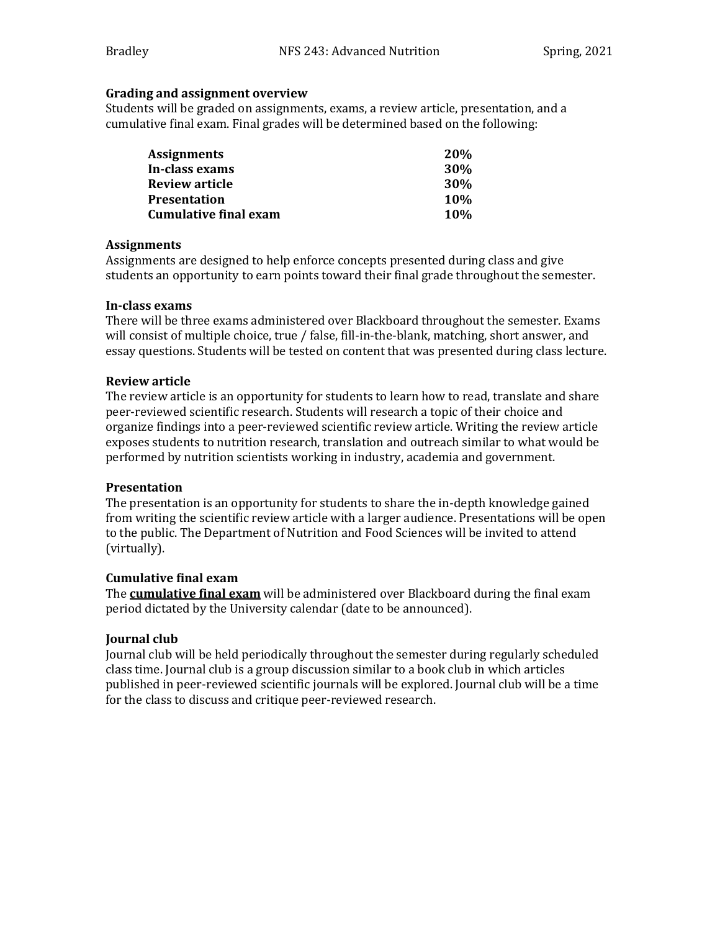## **Grading and assignment overview**

Students will be graded on assignments, exams, a review article, presentation, and a cumulative final exam. Final grades will be determined based on the following:

| <b>Assignments</b>    | <b>20%</b> |
|-----------------------|------------|
| In-class exams        | <b>30%</b> |
| Review article        | 30%        |
| <b>Presentation</b>   | <b>10%</b> |
| Cumulative final exam | <b>10%</b> |

## **Assignments**

Assignments are designed to help enforce concepts presented during class and give students an opportunity to earn points toward their final grade throughout the semester.

## **In-class exams**

There will be three exams administered over Blackboard throughout the semester. Exams will consist of multiple choice, true / false, fill-in-the-blank, matching, short answer, and essay questions. Students will be tested on content that was presented during class lecture.

## **Review article**

The review article is an opportunity for students to learn how to read, translate and share peer-reviewed scientific research. Students will research a topic of their choice and organize findings into a peer-reviewed scientific review article. Writing the review article exposes students to nutrition research, translation and outreach similar to what would be performed by nutrition scientists working in industry, academia and government.

# **Presentation**

The presentation is an opportunity for students to share the in-depth knowledge gained from writing the scientific review article with a larger audience. Presentations will be open to the public. The Department of Nutrition and Food Sciences will be invited to attend (virtually).

# **Cumulative final exam**

The **cumulative final exam** will be administered over Blackboard during the final exam period dictated by the University calendar (date to be announced).

# **Journal club**

Journal club will be held periodically throughout the semester during regularly scheduled class time. Journal club is a group discussion similar to a book club in which articles published in peer-reviewed scientific journals will be explored. Journal club will be a time for the class to discuss and critique peer-reviewed research.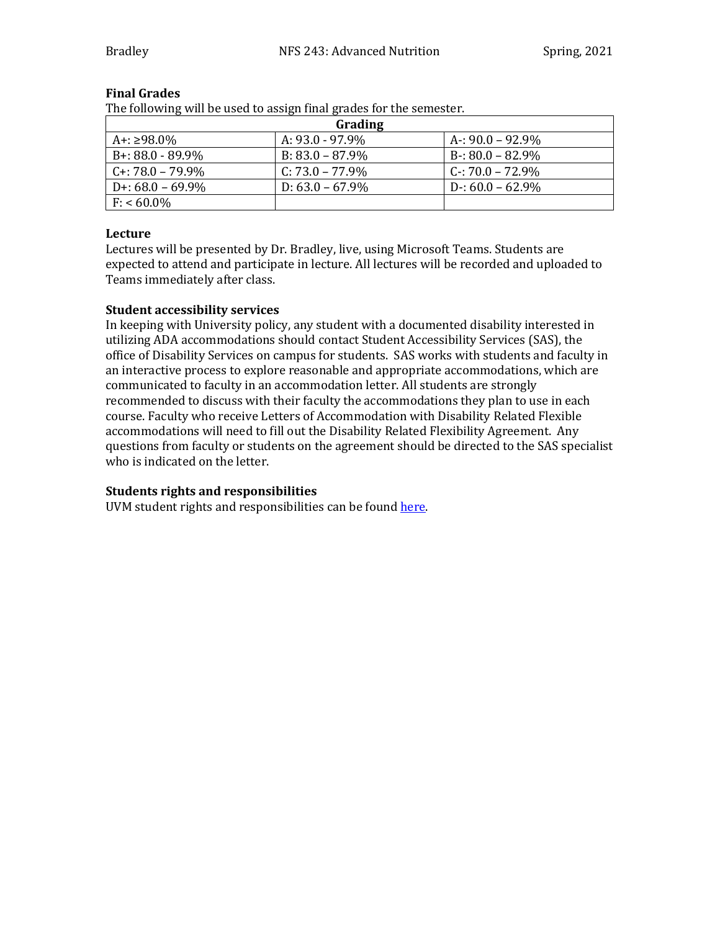| Grading             |                    |                     |  |  |  |
|---------------------|--------------------|---------------------|--|--|--|
| A+: ≥98.0%          | A: $93.0 - 97.9\%$ | A-: $90.0 - 92.9\%$ |  |  |  |
| $B+: 88.0 - 89.9\%$ | $B: 83.0 - 87.9\%$ | $B - 80.0 - 82.9\%$ |  |  |  |
| $C + 78.0 - 79.9\%$ | C: $73.0 - 77.9\%$ | $C - 70.0 - 72.9\%$ |  |  |  |
| D+: $68.0 - 69.9\%$ | D: $63.0 - 67.9\%$ | $D - 60.0 - 62.9\%$ |  |  |  |
| $F: 60.0\%$         |                    |                     |  |  |  |

## **Final Grades**

The following will be used to assign final grades for the semester.

# **Lecture**

Lectures will be presented by Dr. Bradley, live, using Microsoft Teams. Students are expected to attend and participate in lecture. All lectures will be recorded and uploaded to Teams immediately after class.

# **Student accessibility services**

In keeping with University policy, any student with a documented disability interested in utilizing ADA accommodations should contact Student Accessibility Services (SAS), the office of Disability Services on campus for students. SAS works with students and faculty in an interactive process to explore reasonable and appropriate accommodations, which are communicated to faculty in an accommodation letter. All students are strongly recommended to discuss with their faculty the accommodations they plan to use in each course. Faculty who receive Letters of Accommodation with Disability Related Flexible accommodations will need to fill out the Disability Related Flexibility Agreement. Any questions from faculty or students on the agreement should be directed to the SAS specialist who is indicated on the letter.

# **Students rights and responsibilities**

UVM student rights and responsibilities can be found here.